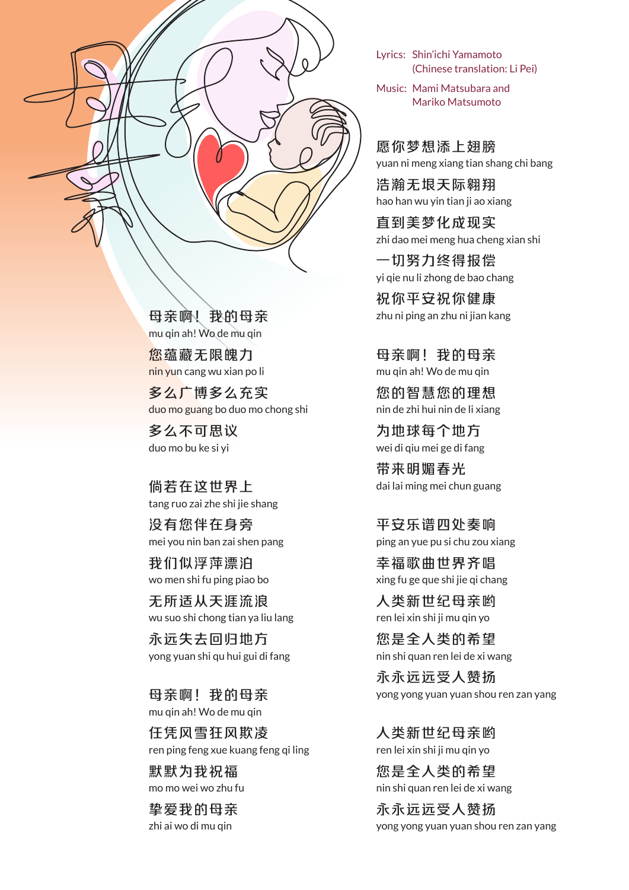

母亲啊!我的母亲 mu qin ah! Wo de mu qin

您蕴藏无限魄力 nin yun cang wu xian po li

多么广博多么充实 duo mo guang bo duo mo chong shi

多么不可思议 duo mo bu ke si yi

倘若在这世界上 tang ruo zai zhe shi jie shang

没有您伴在身旁 mei you nin ban zai shen pang

我们似浮萍漂泊 wo men shi fu ping piao bo

无所适从天涯流浪 wu suo shi chong tian ya liu lang

永远失去回归地方 yong yuan shi qu hui gui di fang

母亲啊!我的母亲 mu qin ah! Wo de mu qin

任凭风雪狂风欺凌 ren ping feng xue kuang feng qi ling

默默为我祝福 mo mo wei wo zhu fu

挚爱我的母亲 zhi ai wo di mu qin

Lyrics: Shin'ichi Yamamoto (Chinese translation: Li Pei)

Music: Mami Matsubara and Mariko Matsumoto

愿你梦想添上翅膀 yuan ni meng xiang tian shang chi bang

浩瀚无垠天际翱翔 hao han wu yin tian ji ao xiang

直到美梦化成现实 zhi dao mei meng hua cheng xian shi

一切努力终得报偿 yi qie nu li zhong de bao chang

祝你平安祝你健康 zhu ni ping an zhu ni jian kang

母亲啊!我的母亲 mu qin ah! Wo de mu qin

您的智慧您的理想 nin de zhi hui nin de li xiang

为地球每个地方 wei di qiu mei ge di fang

带来明媚春光 dai lai ming mei chun guang

平安乐谱四处奏响 ping an yue pu si chu zou xiang

幸福歌曲世界齐唱 xing fu ge que shi jie qi chang

人类新世纪母亲哟 ren lei xin shi ji mu qin yo

您是全人类的希望 nin shi quan ren lei de xi wang

永永远远受人赞扬 yong yong yuan yuan shou ren zan yang

人类新世纪母亲哟 ren lei xin shi ji mu qin yo

您是全人类的希望 nin shi quan ren lei de xi wang

永永远远受人赞扬 yong yong yuan yuan shou ren zan yang